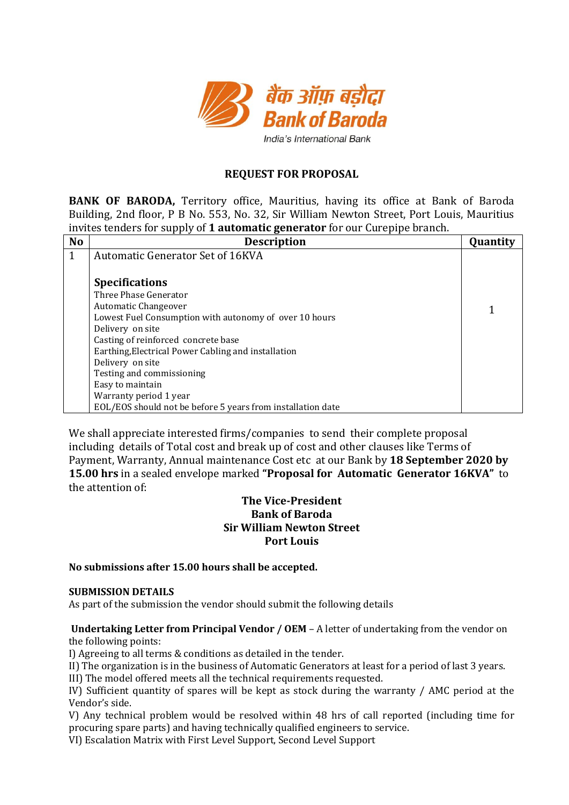

# **REQUEST FOR PROPOSAL**

**BANK OF BARODA,** Territory office, Mauritius, having its office at Bank of Baroda Building, 2nd floor, P B No. 553, No. 32, Sir William Newton Street, Port Louis, Mauritius invites tenders for supply of **1 automatic generator** for our Curepipe branch.

| <b>No</b>    | <b>Description</b>                                          | Quantity |
|--------------|-------------------------------------------------------------|----------|
| $\mathbf{1}$ | <b>Automatic Generator Set of 16KVA</b>                     |          |
|              |                                                             |          |
|              | <b>Specifications</b>                                       |          |
|              | Three Phase Generator                                       |          |
|              | Automatic Changeover                                        |          |
|              | Lowest Fuel Consumption with autonomy of over 10 hours      |          |
|              | Delivery on site                                            |          |
|              | Casting of reinforced concrete base                         |          |
|              | Earthing, Electrical Power Cabling and installation         |          |
|              | Delivery on site                                            |          |
|              | Testing and commissioning                                   |          |
|              | Easy to maintain                                            |          |
|              | Warranty period 1 year                                      |          |
|              | EOL/EOS should not be before 5 years from installation date |          |

We shall appreciate interested firms/companies to send their complete proposal including details of Total cost and break up of cost and other clauses like Terms of Payment, Warranty, Annual maintenance Cost etc at our Bank by **18 September 2020 by 15.00 hrs** in a sealed envelope marked **"Proposal for Automatic Generator 16KVA"** to the attention of:

# **The Vice-President Bank of Baroda Sir William Newton Street Port Louis**

**No submissions after 15.00 hours shall be accepted.** 

# **SUBMISSION DETAILS**

As part of the submission the vendor should submit the following details

# **Undertaking Letter from Principal Vendor / OEM** – A letter of undertaking from the vendor on the following points:

I) Agreeing to all terms & conditions as detailed in the tender.

II) The organization is in the business of Automatic Generators at least for a period of last 3 years.

III) The model offered meets all the technical requirements requested.

IV) Sufficient quantity of spares will be kept as stock during the warranty / AMC period at the Vendor's side.

V) Any technical problem would be resolved within 48 hrs of call reported (including time for procuring spare parts) and having technically qualified engineers to service.

VI) Escalation Matrix with First Level Support, Second Level Support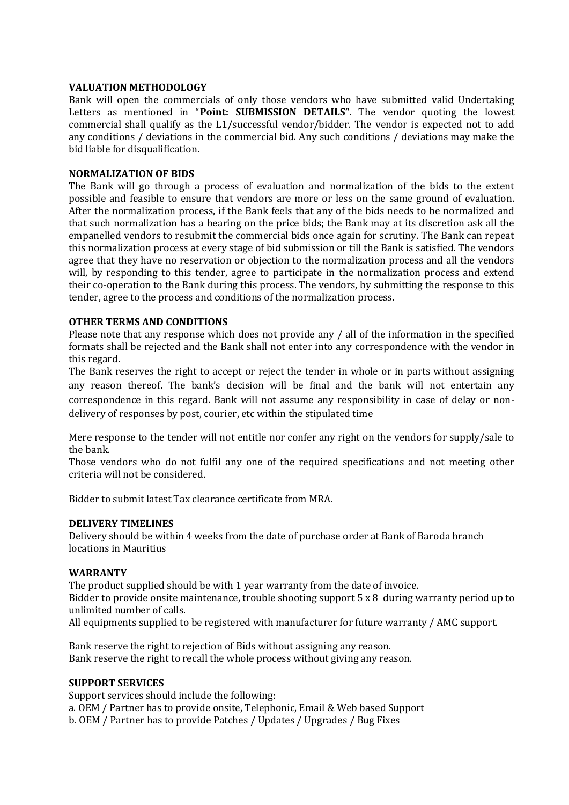# **VALUATION METHODOLOGY**

Bank will open the commercials of only those vendors who have submitted valid Undertaking Letters as mentioned in "**Point: SUBMISSION DETAILS"**. The vendor quoting the lowest commercial shall qualify as the L1/successful vendor/bidder. The vendor is expected not to add any conditions / deviations in the commercial bid. Any such conditions / deviations may make the bid liable for disqualification.

# **NORMALIZATION OF BIDS**

The Bank will go through a process of evaluation and normalization of the bids to the extent possible and feasible to ensure that vendors are more or less on the same ground of evaluation. After the normalization process, if the Bank feels that any of the bids needs to be normalized and that such normalization has a bearing on the price bids; the Bank may at its discretion ask all the empanelled vendors to resubmit the commercial bids once again for scrutiny. The Bank can repeat this normalization process at every stage of bid submission or till the Bank is satisfied. The vendors agree that they have no reservation or objection to the normalization process and all the vendors will, by responding to this tender, agree to participate in the normalization process and extend their co-operation to the Bank during this process. The vendors, by submitting the response to this tender, agree to the process and conditions of the normalization process.

# **OTHER TERMS AND CONDITIONS**

Please note that any response which does not provide any / all of the information in the specified formats shall be rejected and the Bank shall not enter into any correspondence with the vendor in this regard.

The Bank reserves the right to accept or reject the tender in whole or in parts without assigning any reason thereof. The bank's decision will be final and the bank will not entertain any correspondence in this regard. Bank will not assume any responsibility in case of delay or nondelivery of responses by post, courier, etc within the stipulated time

Mere response to the tender will not entitle nor confer any right on the vendors for supply/sale to the bank.

Those vendors who do not fulfil any one of the required specifications and not meeting other criteria will not be considered.

Bidder to submit latest Tax clearance certificate from MRA.

# **DELIVERY TIMELINES**

Delivery should be within 4 weeks from the date of purchase order at Bank of Baroda branch locations in Mauritius

# **WARRANTY**

The product supplied should be with 1 year warranty from the date of invoice. Bidder to provide onsite maintenance, trouble shooting support 5 x 8 during warranty period up to unlimited number of calls.

All equipments supplied to be registered with manufacturer for future warranty / AMC support.

Bank reserve the right to rejection of Bids without assigning any reason. Bank reserve the right to recall the whole process without giving any reason.

# **SUPPORT SERVICES**

Support services should include the following: a. OEM / Partner has to provide onsite, Telephonic, Email & Web based Support b. OEM / Partner has to provide Patches / Updates / Upgrades / Bug Fixes